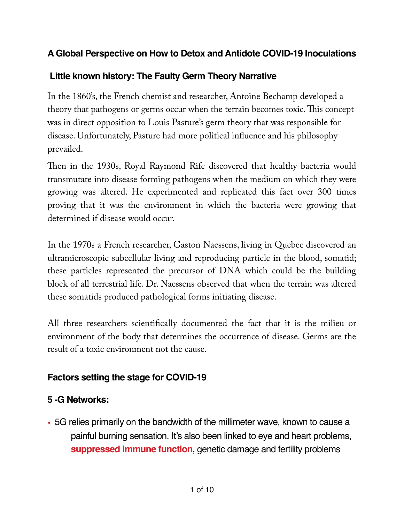# **A Global Perspective on How to Detox and Antidote COVID-19 Inoculations**

# **Little known history: The Faulty Germ Theory Narrative**

In the 1860's, the French chemist and researcher, Antoine Bechamp developed a theory that pathogens or germs occur when the terrain becomes toxic. This concept was in direct opposition to Louis Pasture's germ theory that was responsible for disease. Unfortunately, Pasture had more political infuence and his philosophy prevailed.

Then in the 1930s, Royal Raymond Rife discovered that healthy bacteria would transmutate into disease forming pathogens when the medium on which they were growing was altered. He experimented and replicated this fact over 300 times proving that it was the environment in which the bacteria were growing that determined if disease would occur.

In the 1970s a French researcher, Gaston Naessens, living in Quebec discovered an ultramicroscopic subcellular living and reproducing particle in the blood, somatid; these particles represented the precursor of DNA which could be the building block of all terrestrial life. Dr. Naessens observed that when the terrain was altered these somatids produced pathological forms initiating disease.

All three researchers scientifcally documented the fact that it is the milieu or environment of the body that determines the occurrence of disease. Germs are the result of a toxic environment not the cause.

#### **Factors setting the stage for COVID-19**

#### **5 -G Networks:**

• 5G relies primarily on the bandwidth of the millimeter wave, known to cause a painful burning sensation. It's also been linked to eye and heart problems, **suppressed immune function**, genetic damage and fertility problems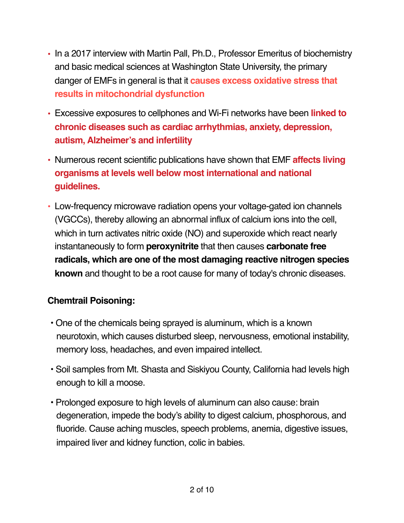- In a 2017 interview with Martin Pall, Ph.D., Professor Emeritus of biochemistry and basic medical sciences at Washington State University, the primary danger of EMFs in general is that it **causes excess oxidative stress that results in mitochondrial dysfunction**
- Excessive exposures to cellphones and Wi-Fi networks have been **linked to chronic diseases such as cardiac arrhythmias, anxiety, depression, autism, Alzheimer's and infertility**
- Numerous recent scientific publications have shown that EMF **affects living organisms at levels well below most international and national guidelines.**
- Low-frequency microwave radiation opens your voltage-gated ion channels (VGCCs), thereby allowing an abnormal influx of calcium ions into the cell, which in turn activates nitric oxide (NO) and superoxide which react nearly instantaneously to form **peroxynitrite** that then causes **carbonate free radicals, which are one of the most damaging reactive nitrogen species known** and thought to be a root cause for many of today's chronic diseases.

# **Chemtrail Poisoning:**

- One of the chemicals being sprayed is aluminum, which is a known neurotoxin, which causes disturbed sleep, nervousness, emotional instability, memory loss, headaches, and even impaired intellect.
- Soil samples from Mt. Shasta and Siskiyou County, California had levels high enough to kill a moose.
- Prolonged exposure to high levels of aluminum can also cause: brain degeneration, impede the body's ability to digest calcium, phosphorous, and fluoride. Cause aching muscles, speech problems, anemia, digestive issues, impaired liver and kidney function, colic in babies.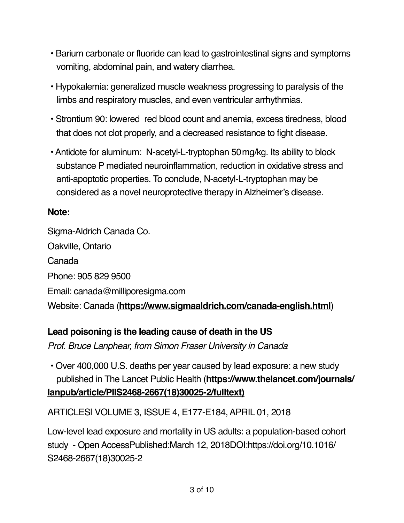- Barium carbonate or fluoride can lead to gastrointestinal signs and symptoms vomiting, abdominal pain, and watery diarrhea.
- Hypokalemia: generalized muscle weakness progressing to paralysis of the limbs and respiratory muscles, and even ventricular arrhythmias.
- Strontium 90: lowered red blood count and anemia, excess tiredness, blood that does not clot properly, and a decreased resistance to fight disease.
- Antidote for aluminum: N-acetyl-L-tryptophan 50mg/kg. Its ability to block substance P mediated neuroinflammation, reduction in oxidative stress and anti-apoptotic properties. To conclude, N-acetyl-L-tryptophan may be considered as a novel neuroprotective therapy in Alzheimer's disease.

## **Note:**

Sigma-Aldrich Canada Co. Oakville, Ontario Canada Phone: 905 829 9500 Email: canada@milliporesigma.com Website: Canada (**<https://www.sigmaaldrich.com/canada-english.html>**)

# **Lead poisoning is the leading cause of death in the US**

*Prof. Bruce Lanphear, from Simon Fraser University in Canada*

**•** Over 400,000 U.S. deaths per year caused by lead exposure: a new study published in The Lancet Public Health (**https://www.thelancet.com/journals/ [lanpub/article/PIIS2468-2667\(18\)30025-2/fulltext\)](https://www.thelancet.com/journals/lanpub/article/PIIS2468-2667(18)30025-2/fulltext))**

ARTICLES| VOLUME 3, ISSUE 4, E177-E184, APRIL 01, 2018

Low-level lead exposure and mortality in US adults: a population-based cohort study - Open AccessPublished:March 12, 2018DOI:https://doi.org/10.1016/ S2468-2667(18)30025-2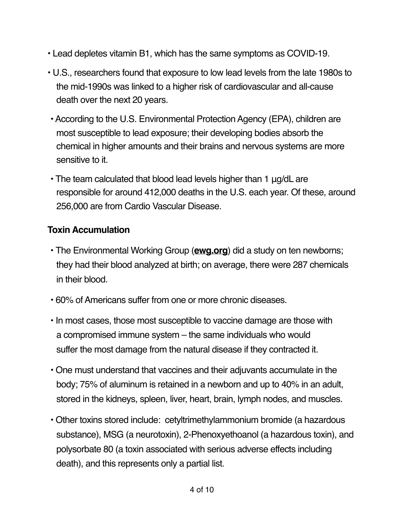- Lead depletes vitamin B1, which has the same symptoms as COVID-19.
- U.S., researchers found that exposure to low lead levels from the late 1980s to the mid-1990s was linked to a higher risk of cardiovascular and all-cause death over the next 20 years.
- According to the U.S. Environmental Protection Agency (EPA), children are most susceptible to lead exposure; their developing bodies absorb the chemical in higher amounts and their brains and nervous systems are more sensitive to it.
- The team calculated that blood lead levels higher than 1 μg/dL are responsible for around 412,000 deaths in the U.S. each year. Of these, around 256,000 are from Cardio Vascular Disease.

# **Toxin Accumulation**

- The Environmental Working Group (**[ewg.org](http://ewg.org)**) did a study on ten newborns; they had their blood analyzed at birth; on average, there were 287 chemicals in their blood.
- 60% of Americans suffer from one or more chronic diseases.
- In most cases, those most susceptible to vaccine damage are those with a compromised immune system – the same individuals who would suffer the most damage from the natural disease if they contracted it.
- One must understand that vaccines and their adjuvants accumulate in the body; 75% of aluminum is retained in a newborn and up to 40% in an adult, stored in the kidneys, spleen, liver, heart, brain, lymph nodes, and muscles.
- Other toxins stored include: cetyltrimethylammonium bromide (a hazardous substance), MSG (a neurotoxin), 2-Phenoxyethoanol (a hazardous toxin), and polysorbate 80 (a toxin associated with serious adverse effects including death), and this represents only a partial list.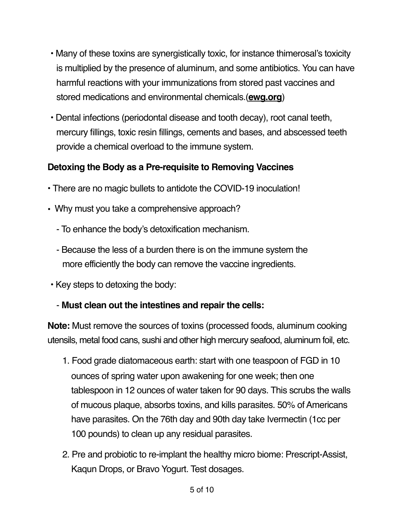- Many of these toxins are synergistically toxic, for instance thimerosal's toxicity is multiplied by the presence of aluminum, and some antibiotics. You can have harmful reactions with your immunizations from stored past vaccines and stored medications and environmental chemicals.(**[ewg.org](http://ewg.org)**)
- Dental infections (periodontal disease and tooth decay), root canal teeth, mercury fillings, toxic resin fillings, cements and bases, and abscessed teeth provide a chemical overload to the immune system.

## **Detoxing the Body as a Pre-requisite to Removing Vaccines**

- There are no magic bullets to antidote the COVID-19 inoculation!
- **•** Why must you take a comprehensive approach?
	- To enhance the body's detoxification mechanism.
	- Because the less of a burden there is on the immune system the more efficiently the body can remove the vaccine ingredients.
- Key steps to detoxing the body:

#### - **Must clean out the intestines and repair the cells:**

**Note:** Must remove the sources of toxins (processed foods, aluminum cooking utensils, metal food cans, sushi and other high mercury seafood, aluminum foil, etc.

- 1. Food grade diatomaceous earth: start with one teaspoon of FGD in 10 ounces of spring water upon awakening for one week; then one tablespoon in 12 ounces of water taken for 90 days. This scrubs the walls of mucous plaque, absorbs toxins, and kills parasites. 50% of Americans have parasites. On the 76th day and 90th day take Ivermectin (1cc per 100 pounds) to clean up any residual parasites.
- 2. Pre and probiotic to re-implant the healthy micro biome: Prescript-Assist, Kaqun Drops, or Bravo Yogurt. Test dosages.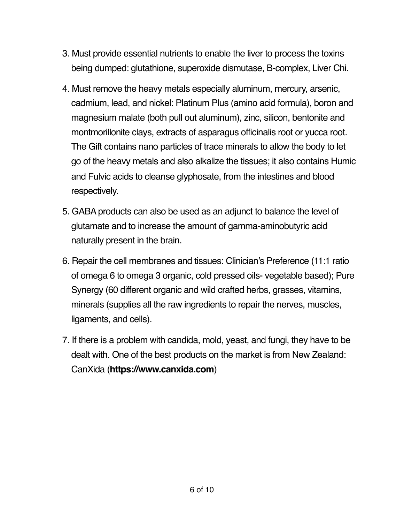- 3. Must provide essential nutrients to enable the liver to process the toxins being dumped: glutathione, superoxide dismutase, B-complex, Liver Chi.
- 4. Must remove the heavy metals especially aluminum, mercury, arsenic, cadmium, lead, and nickel: Platinum Plus (amino acid formula), boron and magnesium malate (both pull out aluminum), zinc, silicon, bentonite and montmorillonite clays, extracts of asparagus officinalis root or yucca root. The Gift contains nano particles of trace minerals to allow the body to let go of the heavy metals and also alkalize the tissues; it also contains Humic and Fulvic acids to cleanse glyphosate, from the intestines and blood respectively.
- 5. GABA products can also be used as an adjunct to balance the level of glutamate and to increase the amount of gamma-aminobutyric acid naturally present in the brain.
- 6. Repair the cell membranes and tissues: Clinician's Preference (11:1 ratio of omega 6 to omega 3 organic, cold pressed oils- vegetable based); Pure Synergy (60 different organic and wild crafted herbs, grasses, vitamins, minerals (supplies all the raw ingredients to repair the nerves, muscles, ligaments, and cells).
- 7. If there is a problem with candida, mold, yeast, and fungi, they have to be dealt with. One of the best products on the market is from New Zealand: CanXida (**<https://www.canxida.com>**)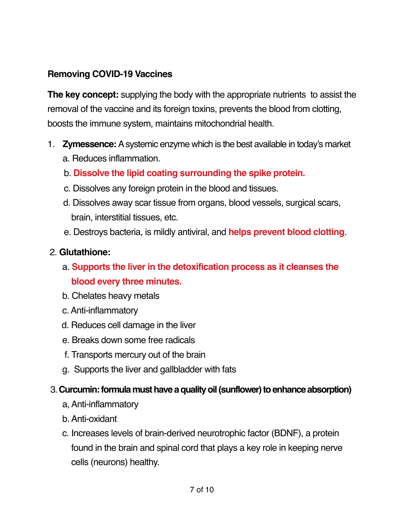# **Removing COVID-19 Vaccines**

**The key concept:** supplying the body with the appropriate nutrients to assist the removal of the vaccine and its foreign toxins, prevents the blood from clotting, boosts the immune system, maintains mitochondrial health.

- 1. **Zymessence:** A systemic enzyme which is the best available in today's market
	- a. Reduces inflammation.
	- b. **Dissolve the lipid coating surrounding the spike protein.**
	- c. Dissolves any foreign protein in the blood and tissues.
	- d. Dissolves away scar tissue from organs, blood vessels, surgical scars, brain, interstitial tissues, etc.
	- e. Destroys bacteria, is mildly antiviral, and **helps prevent blood clotting**.

#### 2. **Glutathione:**

- a. **Supports the liver in the detoxification process as it cleanses the blood every three minutes.**
- b. Chelates heavy metals
- c. Anti-inflammatory
- d. Reduces cell damage in the liver
- e. Breaks down some free radicals
- f. Transports mercury out of the brain
- g. Supports the liver and gallbladder with fats

#### 3. **Curcumin: formula must have a quality oil (sunflower) to enhance absorption)**

- a, Anti-inflammatory
- b. Anti-oxidant
- c. Increases levels of brain-derived neurotrophic factor (BDNF), a protein found in the brain and spinal cord that plays a key role in keeping nerve cells (neurons) healthy.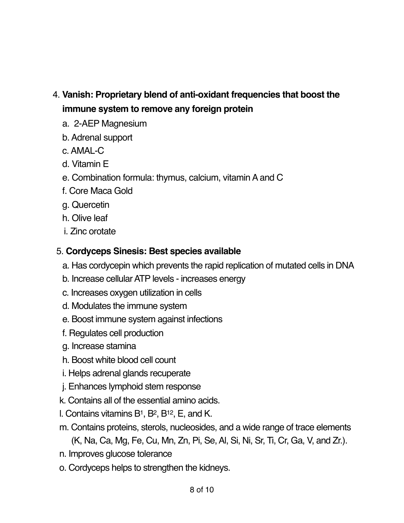- 4. **Vanish: Proprietary blend of anti-oxidant frequencies that boost the immune system to remove any foreign protein**
	- a. 2-AEP Magnesium
	- b. Adrenal support
	- c. AMAL-C
	- d. Vitamin E
	- e. Combination formula: thymus, calcium, vitamin A and C
	- f. Core Maca Gold
	- g. Quercetin
	- h. Olive leaf
	- i. Zinc orotate

# 5. **Cordyceps Sinesis: Best species available**

- a. Has cordycepin which prevents the rapid replication of mutated cells in DNA
- b. Increase cellular ATP levels increases energy
- c. Increases oxygen utilization in cells
- d. Modulates the immune system
- e. Boost immune system against infections
- f. Regulates cell production
- g. Increase stamina
- h. Boost white blood cell count
- i. Helps adrenal glands recuperate
- j. Enhances lymphoid stem response
- k. Contains all of the essential amino acids.
- I. Contains vitamins  $B^1$ ,  $B^2$ ,  $B^{12}$ , E, and K.
- m. Contains proteins, sterols, nucleosides, and a wide range of trace elements (K, Na, Ca, Mg, Fe, Cu, Mn, Zn, Pi, Se, Al, Si, Ni, Sr, Ti, Cr, Ga, V, and Zr.).
- n. Improves glucose tolerance
- o. Cordyceps helps to strengthen the kidneys.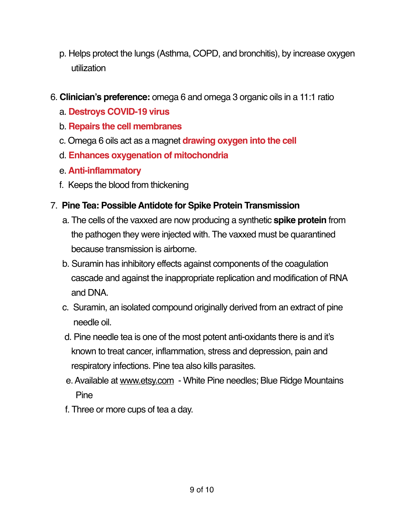- p. Helps protect the lungs (Asthma, COPD, and bronchitis), by increase oxygen utilization
- 6. **Clinician's preference:** omega 6 and omega 3 organic oils in a 11:1 ratio
	- a. **Destroys COVID-19 virus**
	- b. **Repairs the cell membranes**
	- c. Omega 6 oils act as a magnet **drawing oxygen into the cell**
	- d. **Enhances oxygenation of mitochondria**
	- e. **Anti-inflammatory**
	- f. Keeps the blood from thickening
- 7. **Pine Tea: Possible Antidote for Spike Protein Transmission**
	- a. The cells of the vaxxed are now producing a synthetic **spike protein** from the pathogen they were injected with. The vaxxed must be quarantined because transmission is airborne.
	- b. Suramin has inhibitory effects against components of the coagulation cascade and against the inappropriate replication and modification of RNA and DNA.
	- c. Suramin, an isolated compound originally derived from an extract of pine needle oil.
	- d. Pine needle tea is one of the most potent anti-oxidants there is and it's known to treat cancer, inflammation, stress and depression, pain and respiratory infections. Pine tea also kills parasites.
	- e. Available at [www.etsy.com](http://www.etsy.com)  White Pine needles; Blue Ridge Mountains Pine
	- f. Three or more cups of tea a day.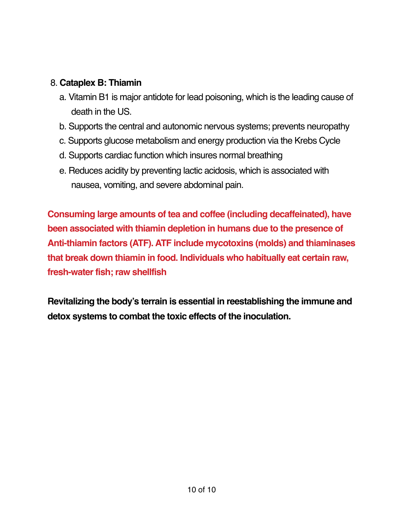#### 8. **Cataplex B: Thiamin**

- a. Vitamin B1 is major antidote for lead poisoning, which is the leading cause of death in the US.
- b. Supports the central and autonomic nervous systems; prevents neuropathy
- c. Supports glucose metabolism and energy production via the Krebs Cycle
- d. Supports cardiac function which insures normal breathing
- e. Reduces acidity by preventing lactic acidosis, which is associated with nausea, vomiting, and severe abdominal pain.

**Consuming large amounts of tea and coffee (including decaffeinated), have been associated with thiamin depletion in humans due to the presence of Anti-thiamin factors (ATF). ATF include mycotoxins (molds) and thiaminases that break down thiamin in food. Individuals who habitually eat certain raw, fresh-water fish; raw shellfish**

**Revitalizing the body's terrain is essential in reestablishing the immune and detox systems to combat the toxic effects of the inoculation.**